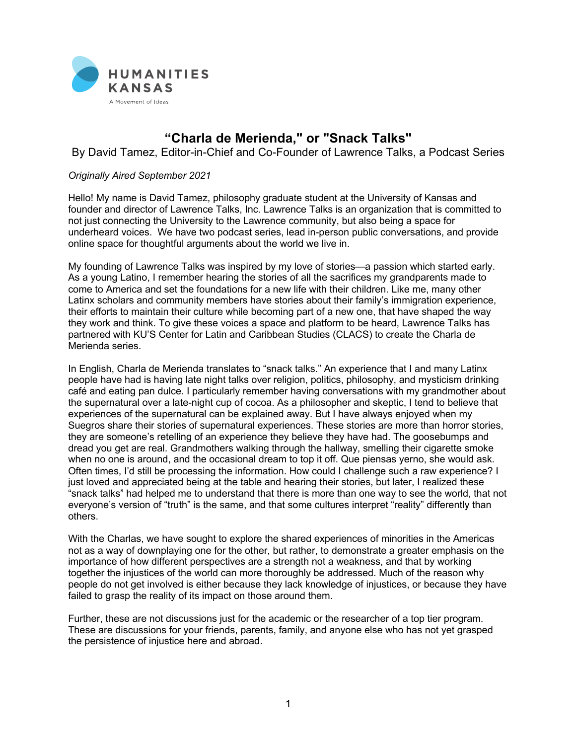

## **"Charla de Merienda," or "Snack Talks"**

By David Tamez, Editor-in-Chief and Co-Founder of Lawrence Talks, a Podcast Series

## *Originally Aired September 2021*

Hello! My name is David Tamez, philosophy graduate student at the University of Kansas and founder and director of Lawrence Talks, Inc. Lawrence Talks is an organization that is committed to not just connecting the University to the Lawrence community, but also being a space for underheard voices. We have two podcast series, lead in-person public conversations, and provide online space for thoughtful arguments about the world we live in.

My founding of Lawrence Talks was inspired by my love of stories—a passion which started early. As a young Latino, I remember hearing the stories of all the sacrifices my grandparents made to come to America and set the foundations for a new life with their children. Like me, many other Latinx scholars and community members have stories about their family's immigration experience, their efforts to maintain their culture while becoming part of a new one, that have shaped the way they work and think. To give these voices a space and platform to be heard, Lawrence Talks has partnered with KU'S Center for Latin and Caribbean Studies (CLACS) to create the Charla de Merienda series.

In English, Charla de Merienda translates to "snack talks." An experience that I and many Latinx people have had is having late night talks over religion, politics, philosophy, and mysticism drinking café and eating pan dulce. I particularly remember having conversations with my grandmother about the supernatural over a late-night cup of cocoa. As a philosopher and skeptic, I tend to believe that experiences of the supernatural can be explained away. But I have always enjoyed when my Suegros share their stories of supernatural experiences. These stories are more than horror stories, they are someone's retelling of an experience they believe they have had. The goosebumps and dread you get are real. Grandmothers walking through the hallway, smelling their cigarette smoke when no one is around, and the occasional dream to top it off. Que piensas yerno, she would ask. Often times, I'd still be processing the information. How could I challenge such a raw experience? I just loved and appreciated being at the table and hearing their stories, but later, I realized these "snack talks" had helped me to understand that there is more than one way to see the world, that not everyone's version of "truth" is the same, and that some cultures interpret "reality" differently than others.

With the Charlas, we have sought to explore the shared experiences of minorities in the Americas not as a way of downplaying one for the other, but rather, to demonstrate a greater emphasis on the importance of how different perspectives are a strength not a weakness, and that by working together the injustices of the world can more thoroughly be addressed. Much of the reason why people do not get involved is either because they lack knowledge of injustices, or because they have failed to grasp the reality of its impact on those around them.

Further, these are not discussions just for the academic or the researcher of a top tier program. These are discussions for your friends, parents, family, and anyone else who has not yet grasped the persistence of injustice here and abroad.